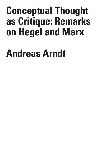## **Conceptual Thought as Critique: Remarks on Hegel and Marx**

## **Andreas Arndt**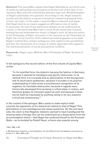**Abstract:** The young Marx argued that Hegel defended an uncritical view of reality by taking empirical existence to be the truth of the idea. In his reproach, Marx puts the relationship between logic and 'Realphilosophie' in Hegel's philosophy into question. According to him, Hegel subjects' society and the state to a logical schematism instead of grasping them in their own logic. In this paper, I examine Marx's reproach and argue that Hegel does by no means suggest an affirmative view of reality. In particular, his view of the dialectical method can be understood as critical, in the sense that Marx had in mind. At the same time, however, ambiguities and ambivalences remain in Hegel's work. At decisive points in the *Philosophy of Right*, and partly in the Lectures on the *Philosophy of Right*, the critical function of the dialectical method appears to be weak. Hegel's method thus remains ambiguous with regard to the possibilities and also the necessities of a critique of reality, especially with regard to the institutionalization of social and political conflicts.

Volume 8 Issue 2

C R I S I S & C R I T I Q U E /

**Keywords:** Hegel, Logic, Method, Marx Philosophy of Right, Science of Logic.

In the epilogue to the second edition of the first volume of *Capital* Marx writes:

"In its mystified form, the dialectic became the fashion in Germany, because it seemed to transfigure and glorify what exists. In its rational form it is a scandal and an abomination to the bourgeoisie and its doctrinaire spokesmen, because it includes in its positive understanding of what exists a simultaneous recognition of its negation, its inevitable destruction; because it regards every historically developed form as being in a fluid state, in motion, and therefore grasps its transient aspect as well; and because it does not let itself be impressed by anything, being in its very essence critical and revolutionary."1

In the context of the epilogue, Marx wants to make explicit what consists the opposition of his dialectical method to that of Hegel.<sup>2</sup>This delimitation is not unambiguous and raises questions. On the one hand side, the claim is that Hegelian dialectic *seemed* to have transfigured the existing state of things; this can be understood as a dissociation from the accommodation thesis – that Hegel has rendered himself to the Prussian State – as formulated by Rudolf Haym, a thesis also popular among

<sup>1</sup> Marx 1982, p.103.

<sup>2,</sup> My dialectical method is, in its foundations, not only different from the Hegelian, but exactly opposite to it." Marx 1982, p.102.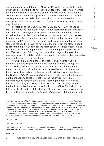social democrats, and that even Marx in 1870 explicitly rejected.3 On the other hand side, Marx does not leave any doubt that Hegel has mystified the dialectic.4 Only in its rational shape, it is critical and revolutionary. At least, Hegel is thereby reproached to have not overseen the critical consequences of his dialectical method and to have abetted its appropriation for the purpose of transfiguring the existing things through mystification.

In relation to the *Outlines of the Philosophy of Right*, the young Marx defended the thesis that Hegel is necessarily led to the "inevitable outcome… that an *empirically existent* is *uncritically* accepted as the actual truth of the idea"5 ; his philosophy is characterized by a "necessary transforming of empirical fact into speculation and of speculation into empirical fact."6 Behind this reproach lies the assumption that for Hegel "logic is not used to prove the nature of the state, but the state is used to prove the logic."7 Central for the reproach of uncritical empiricism is therefore the relationship between logic and real philosophy in Hegel that Marx assumes. Following his conception, Hegel subjugates his representation of society and the state to a logical schematism instead of grasping them in their proper logic.

We will examine this thesis in what follows, whereby we will demonstrate that Hegel does not suggest an affirmative conception of the existing state of things, rather, his conception of method can be understood as critical, in the sense addressed by Marx. At the same time, obscurities and ambivalences remain. At decisive moments in the *Outlines of the Philosophy of Right* and in parts even of his lectures on the philosophy of right, Hegel reduces the critical function of his method, and remains ambiguous regarding the possibilities and necessities, if any, of a critique of the existing state of things and of the institutionalization of social and political conflicts. This will, in the following, be the object of the first part the elaborations (I.). With regard to the method developed in the *Science of Logic*, we will then show that

4 Cf. Arndt 2013.

5 MECW, Vol. 3, p. 39.

6 MECW 3, p. 9. "Ordinary empirical fact has not its own but an alien spirit for its law; whereas the the form of existence of the actual idea is not an actuality evolved from itself, but ordinary empirical fact."

7 Marx 2009, p.18

24

C R I S

<sup>3</sup> Cf. Haym 1857, p, 359. "The Prussian state... entered into the period of restauration... The Hegelian system became the scientific abode of the spirit of the Prussian restauration." Also, Wilhelm Liebknecht, one of the leadings heads of the German social democracy assumed in 1870 in this sense, Hegel is "the discoverer and glorifier of the royal Prussian idea of the state." He had this remark printed as remark to an essay by Frederick Engels, which angered Engels: "this ignoramus has the insolence to wish ti dispatch a man like Hegel with the word "Preuss"". Karl Marx seconded: "I had written to him that if, when he wrote about Hegel, he knew nothing better than to repeat the old… muck, then he would do better to keep his mouth shut." (MECW, Vol. 43, pp. 508 and 512).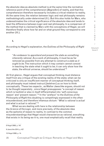the absolute idea as absolute method is at the same time the normative reference point of the comprehension [*Begreifen*] of reality, and that this comprehension therefore necessarily includes a critical relation to reality. At the same time, the relation between logic and real philosophy remains methodologically under-determined (II.). But this also holds for Marx, who underestimates the critical significance of the absolute idea and tends to level the difference between *Logic* and real philosophy. In a comparison of the method that is claimed by Marx with the conceptions of Hegel, we will therefore finally show how far and on what ground they correspond to one another (III.).

## **I.**

According to Hegel's explanation, the *Outlines of the Philosophy of Right* are:

"An endeavor to *apprehend and present the state as something inherently rational*. As a work of philosophy, it must be as far removed as possible from any attempt to construct a *state as it ought to be*. The instruction which it may contain cannot consist in teaching the state what it ought to be; it can only show how the state, the ethical universe, should be understood."8

At first glance , Hegel argues that conceptual thinking must distance itself from any critique of the existing reality of the state; what can be criticized is only an insufficient manner of conceptual thinking itself, and philosophy must indeed instruct [*belehren*] us on how to think conceptually . These two aspects , as Walter Jaeschke argues, should not to be thought separately , since Hegel presupposes "a concept of reason which is twofold or also in itself differentiated into 'self-conscious reason' and 'present reason.'"9 In the "preface" to the *Outlines of the Philosophy of Right* this doubling is compellingly expressed in the often misunderstood, and therefore infamous dictum: "*What is rational is actual and what is actual is rational*."10

What we are dealing with here is the relationship between the *Science of the Logic,* and more precisely, of the absolute idea as the epitome of reason to reality. In contrast to the common misunderstandings that Hegel would characterize as rational, everything that exists in its being-as-it-is, one must emphatically recall that reality

8 Hegel 2008, p. 14f.

9 Jaeschke 2014, p. 427

10 Hegel 2008, p. 14.

25

T I Q U E / Volume 8

Issue 2

C R  $\mathbf{I}$ S I S & C R I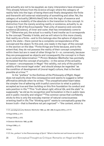and actuality are not to be equated, as many interpreters have stressed.<sup>11</sup> This already follows from the *Science of Logic* where the category of reality falls into the logic of being-there and finally designates the finite and therewith still external relationship of something and other. Yet, the category of actuality [*Wirklichkeit*] falls into the logic of essence and designates a modality of the absolute in the transition to the concept. In distinction from the merely existing reality or existence, actuality is, as it says in § 142 of the *Encyclopedia* "that unity of essence and concrete existence [*Existenz*], of inner and outer, that has immediately come to be."12 Otherwise put, the actual is a reality if and insofar as it corresponds to the concept. Thereby it holds, and we will return to this more closely, that reality as a finite – and to this belongs also the sphere of objective spirit, the state – there cannot be a complete correspondence of the concept and the object. To this end, one reads in the logic of the concept in the section on the idea: "Finite things are finite because, and to the extent that, they do not possess the reality of their concept completely within them but are in need of other things for it – or, conversely, because they are presupposed as objects and consequently the concept is in them as an external determination."13 Pirmin Stekeler-Weithofer has pointedly formulated that the concept of actuality – in the sense of the actuality of reason – encompasses in Hegel "the validity, not only of the positive validity of the moral-legal order" and should always be regarded "as the condition of development of (moral-legal) culture, that is the best possible at a time."14

In his "preface" to the *Outlines of the Philosophy of Right*, Hegel does not explicitly draw this consequence and seems to suggest a rather affirmative attitude when he writes: "The unsophisticated heart takes the simpler line of adhering with trustful conviction to what is publicly accepted as true and then building on this firm foundation its conduct and sets position in life."15 This "truth about *right, ethical life*, and *the state*" is supposedly "as old as its recognition and formulation in the in public laws and in public morality and religion"<sup>16</sup> The common sense that confidently sticks to this is only the everyday manner of natural consciousness orienting itself in life. The "thinking spirit" wants to conceptually grasp the known truth – that is therefore not yet cognized<sup>17</sup> – "the content, which is

11 Cf. paradigmatically Stekeler-Weithofer 1982, pp. 282 –288; Aragüés 2018, p. 217 ff.

12 Hegel 2010a, p. 211.

13 Hegel 2010b, p. 672.

14 Stekeler Weithofer 1992, pp 288.

15 Hegel 2008, p. 5.

16 Ibid.

26

17 Cf. the "preface" to the *Phenomenology of Spirit*: "What is familiar and well known as such is not

Q U E / Volume 8 Issue 2

C R  $\mathbf{I}$ S I S & C R I T I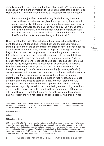already rational in itself must win the *form* of rationality."18 Hereby we are not dealing with a mere affirmation of the existing state of things, since, as Hegel states, it is only through conceptual thought the rational content:

it may appear justified to free thinking. Such thinking does not stop at the given, whether the given be supported by the external positive authority of the state or agreement among people, or by the authority of inward feeling and the heart and by the witness of the spirit which immediately concurs with it. On the contrary, thought which is free starts out from itself and thereupon demands to know itself as united in its innermost being with the truth."19

Birgit Sandkaulen<sup>20</sup> has clarified what difficulties are linked to Hegel's confidence in confidence. The tension between the critical attitude of thinking spirit and of the confidential conviction of natural consciousness catches the eye. If the validity of the existing state of things is only to be justified through the comprehension in free thought and does not follow from the authority of the existing state of things, then it follows that its rationality does not coincide with its mere existence. As little as each form of self-consciousness can be addressed as self-conscious reason, as little anything that is present can be addressed as rational. But this also means – as Hegel says about the concatenation of free thought – that any form of a non-comprehending [*nicht-begreifenden*] consciousness that relies on the common conviction or on the immediacy of feeling and heart, or on subjective conviction, deceives and can itself be deceived. As one must distinguish in reality, between rational actuality and mere existing state of things, one must also generally distinguish in consciousness between opinion (doxa) and knowledge (epistéme)<sup>21</sup> to justify the validity of the existing state of things – and also of the trusting conviction with regard to the existing state of things – at all. Put differently: trust itself requires the justification of the concept and mistrust in the non-reflected confidence. Hegel, who precisely for

18 Hegel 2008, p. 5.

19 Ibid.

20 Sandkaulen 2014.

I S  $\mathbf{I}$ S & C R I T I Q U E / Volume 8

Issue 2

C R

really known." Here Hegel certainly even adds: "In the case of cognition, the most common form of self-deception and deception of others is when one presupposes something as well known and then makes one's peace with it." Hegel 2018, p. 20.

<sup>21</sup> Cf. Fulda 2003, p.83: "On the one hand side, there now stands a consciousness that in its temporally specific biases lives. Hegel calls it natural consciousness […], primordially caught in the opacity of the lived moment. On the other side stands the philosophy that must correct the inversions which are contained in natural consciousness. Thereby it presents itself to that natural consciousness as something inverted and wrong […]. Thereby – like in Plato – there is the opposition of apparent knowledge, in which we usually live, and real knowledge of true philosophy."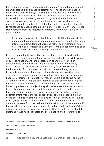this reason, honors and despises public opinion, $22$  has not made explicit its ambivalence in this passage. Neither here, nor at another place in the *Outlines of the Philosophy of Right*, is it justified why this trust can be trusted in all cases. Even more so, the inverted case of mistrust in the validity of the existing state of things – neither on the level of common sense nor as result of free thinking – is not considered nor possible conflicts resulting from it, leading up to the question of a right to resistance against a pathologically distorted political system<sup>23</sup> Rather Hegel refrains from the historicity completely for the benefit of a purely ideal moment:

In any case, however, it is absolutely essential that the constitution should not be regarded as *something made*, even though it has come into being in time. It must be treated rather as something simply existent in and for itself, as divine therefore, and constant, and so as exalted above the sphere of things that are made.<sup>24</sup>

Even if it holds that the objectivity of the objective spirit to which the state and the constitution belong, are not accessible to the arbitrariness of subjective action, and is the expression of a formative step of spirit which is objective vis-à-vis the individual, Hegel's testimony is not convincing. Here, as was pointed out by Birgit Sandkaulen. $25$ the historicity of spirit is arrested, without the state being beyond historicity – since world history is ultimately inferred from the state. This historicity means in any case transformability and not persistence. Especially therefore the actuality of reason is here also always mixed with the merely existent and external to it, so that one must distinguish between the two. One could put this pointedly: the state as such is in its worldly existence, as objective spirit, can represent the concept only in a broken manner and mediated through externalities due to reasons that lie in reason itself. The representation of the eternal in it cannot abstract entirely from the real philosophical context, because it is part of the determination of the idea's being-there in actuality. By abstaining from it, Hegel's formulations create the impression that he wanted to displace the state from the realm of the finite into that of the absolute. If the constitution were absolute "simply in and for itself' [*schlechthin*] selfreferential and thus "divine and constant," then it would be the absolute itself and would no longer belong to the objective and therefore finite

22 "Public opinion therefore deserves to be as much respected as despised." Hegel 2008, p. 301.)

................................

28

C R  $\mathbf{I}$ S I

<sup>23</sup> Cf. Siep 2012, p.45; 2015, pp. 46 –78.

<sup>24</sup> Hegel 2008, p. 262.

<sup>25</sup> Sandkaulen 2014, p. 434.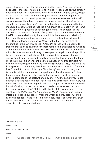spirit. The state is only the "rational in and for itself,"<sup>26</sup> but only insofar as reason – the idea – has realized itself in it. The idea has always already become actuality in a determinate historical manner. In this sense, Hegel claims that "the constitution of any given people depends in general on the character and development of its self-consciousness. In its selfconsciousness, its subjective freedom is rooted and so, therefore, is the actuality of its constitution."<sup>27</sup> But this actuality is also supposed to be measured by how far it has realized a maximum of rationality in the frame of the objectively possible or has lagged behind. The constant or the eternal *in* the historical finitude of objective spirit is not absolute reason itself in its self-relationality, but as such it is the measure in relation (to finite) reality, wherein it only ever appears as fractured by externalities.

Hegel's formulations prove Marx right in that the handling of the method in the *Outlines of the Philosophy of Right,* which seems to transfigure the existing. However, there remains an ambivalence, which is exemplified here in view of the "trustworthy conviction" of the "unbiased mind" is to be made clear by way of example. In Hegel's view, the publicly known truth shows itself above all in religion; this, however, does not secure an affirmative, unconditional agreement of throne and altar, but in it, the individual experiences the consciousness of its freedom. It is not by chance that Hegel emphasizes in the *Encyclopedia* (1830) regarding the free spirit of the individual, that the consciousness of individual freedom has "come into the world through Christianity" and man "in religion knows its relationship to absolute spirit as such as its essence", "has the divine spirit also as entering into the sphere of worldly existence, as the substance of the state, the family, etc."<sup>28</sup> At the same time, Hegel emphasizes that people do not "have" the idea of freedom in this way, but they are it. "It is this wanting of freedom no longer a drive which demands its satisfaction, but the character – spirited consciousness that has become driveless being."29 If this is the basis of the trust of which Hegel speaks in the *Outlines of the Philosophy of Right*, then it arises from an internalized consciousness of freedom, which can only agree with the existing because it finds itself in it. Obviously, Hegel assumes that trust only arises when it also can be justified. But even if it should be so the case of conflict remains hidden.

T I Q U E / Volume 8

C R I S I S & C R I

Issue 2

26 Hegel 2008, p. 228.

27 Ibid., p. 263.

28 GW, Vol. 20, §482, Remark.

29 Ibd.

29

Conceptual Thought as Critique: Remarks on Hegel and Marx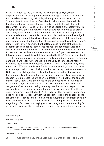In the "Preface" to the *Outlines of the Philosophy of Right*, Hegel emphasizes right at the beginning, the special significance of the method that he takes as a guiding principle, whereby he explicitly refers to the *Science of Logic*, even if he has "omitted to bring out and demonstrate the chain of logical argument in each and every detail…in dealing with a topic which is concrete and intrinsically of so varied a character."<sup>30</sup> Marx's assumption that the *Philosophy of Right* allows conclusions to be drawn about Hegel's conception of the method is therefore correct, especially since Hegel emphasizes in this context that his treatise should be judged primarily from this point of view. Yet, what is the nature of the relation of the real science of spirit to the method of logic cannot be inferred from Hegel's remark. Marx's view seems to be that Hegel uses figures of the logic as schematism and applies them directly to real philosophical facts. The concrete and manifold nature of these facts would then only be an obstacle to overload the text by constant references to the *Logic*. However, another interpretation is possible, which is suggested by the *Science of Logic* itself.

In connection with the passage already quoted above from the section on the idea, we read: "Since the idea is the unity of concept and reality, *being* has attained the significance of *truth*; it now *is*, therefore, only what the idea is."31 This is doubly true: for the concept, which grasps itself here as a concept itself in pure thinking, and for the concept that refers to reality. Both are to be distinguished: only in the former case does the concept becomes purely self-referential and the idea consequently absolute. With respect to real objects the situation is different: "It is not that the subject matter [*der Gegenstand*], the objective and subjective world, *ought* to be in principle *congruent* with the idea; the two are themselves rather the congruent of concept and reality; a reality that does not correspond to the concept is mere *appearance*, something subjective, accidental, arbitrary, something which is not the truth."<sup>32</sup> This is to say that actuality in any case does not go directly together with the concept,<sup>33</sup> even if the concept or the idea must correspond to the reality, so that "anything actual might possibly *be in truth*."34 The criteria for this actual or true being, Hegel formulates negatively: "But there is no saying what anything actual might possibly *be in truth*, if its concept is not in it and its objectivity does not measure up to

30 Hegel 2008, p. 4.

31 Hegel 2010b, p. 672

32 Ibid., p. 671.

30

33 It goes together with the concept only insofar as the contingent, but not contingency in its multiplicity is logically necessary (cf. Henrich 1971).

34 Hegel 2010b, p. 672.

Conceptual Thought as Critique: Remarks on Hegel and Marx

I S & C R I T I  $\Omega$ U E / Volume 8 Issue 2

C R I S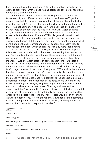this concept; it would be a nothing."35 With this negative formulation he wants to clarify that what is dead has no correspondence of concept and reality and thus no real being.

On the other hand, it is also true for Hegel that the logical idea is necessarily in a difference to actuality. In the *Science of Logic* he emphasizes that this is by no means a limit of the idea, but a limitation inscribed in itself: "That the idea has not perfectly fashioned their reality, that it has not completely subjugated it to the concept, the possibility of that rests on the fact that the idea itself has a *restricted content*; that, as essentially as it is the unity of the concept and reality, just as essentially it is also their difference."36 This is generally true for reality, Hegel extends his analysis to the state, which even as the worst state, according to him, is still the state.<sup>37</sup>This raises the question, under which conditions do the non-correspondence of concept and reality lead to nothingness, and under which conditions is reality more than nothing?

In his lecture on logic in 1817, Hegel states: "When one says that this state constitution is bad, its badness is something transient – it is not. But there is not state which does not have something that does not correspond the idea, even if only in an incomplete and merely abstract manner."38 Even the worst state is in some respect - insofar as it is a state at all - in correspondence to the concept; but what is a state whose objectivity is not at all commensurate with the term? In the *Science of Logic*, Hegel remarks of the context just quoted: "Wholes like the state and the church cease to exist *in concreto* when the unity of concept and their reality is dissolved."39 This dissolution of the unity of concept and in which the objectivity of the state loses its adequacy to the concept is obviously a historical moment in the cognition of the state. In his Lecture on the *Philosophy of Right* in 1818/19, Hegel distinguished between reasonable and historical necessity as two ways of looking at things, and he emphasized that "true cognition" cannot "stop at the historical viewpoint of relations of right, since for it is valid only the right of the existing, that which is valid according to its form, even if it also would be in an infinite way, the highest wrong."<sup>40</sup> Here, the rational view becomes the normative instance of objection, which criticizes the existing as being contrary to reason, if it "does not correspond to the idea."41

35 Ibid.

36 Ibid., p. 672.

37 Cf. Ibid., p. 673.

38 G.W.F. Hegel, Gesammelte Werke, Vol, 23.1, p. 138. [add this to biblio and more detail maybe]

39 Hegel 2010b, p. 672.

40 .G. W.F. Hegel, *Gesammelte Werke*, Vol, 26.1, p. 234.

41 Ibid.

31 Conceptual Thought as Critique: Remarks on Hegel and Marx

R I S I S & C R I T I Q U E / Volume 8 Issue 2

C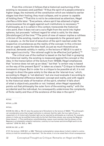From this criticism it follows that a historical overturning of the existing is necessary and justified: "If thus the spirit of a people entered a higher stage, the moments of the constitution which are related to earlier stages lose their footing; they must collapse, and no power is capable of holding them."42 That this is not to be understood as attentism, Hegel clarifies a little later: "Everywhere, where spirit has attained a higher consciousness the struggle against such institutions is necessary."43 If philosophy, as it is called in this context, transcends the historical view point, then it does not carry out a flight from the world into higher spheres, but proceeds "without regard for what is valid, for the ideas [*Vorstellungen*] of the time."<sup>44</sup> The point of view of reason implies a ruthless criticism of the existing, insofar as it corresponds to the general spirit in a people, i.e. its the level of education of the spirit reached under the respective circumstances as the reality of the concept. In this criticism lies an ought, because the Idea itself, as just as much theoretical as practical, demands validity in reality; in the lecture of 1821/2 it is said in this regard succinctly: "the rational ought to be effective [*soll gelten*]."45

The critical use of the method is based on the fact that in grasping the historical reality, the existing is measured against the concept or the idea. In the transcription of the lecture from 1819/20, Hegel emphasizes that "science does not set up an ideal," but that "a certain way is based on the way of the present Spirit" is taken as a basis.<sup>46</sup> Critique is therefore immanent critique. But in order for a critique to be possible at all, it is not enough to direct the gaze solely to the idea as the 'eternal-true,' which, according to Hegel, is 'not abstract,' but one must evaluate it according to the fundamental difference between concept and reality, and with regard to the historical state of formation of the spirit, whether it falls short of what is objectively possible or not. Instead, when Hegel repeatedly points out that philosophy the outer form of the existing reality" with the accidental and the individual, he consequently undermines the complexity of finite reality and thus of the existence of the idea in the spirit. $47$ 

42 Ibid.

43 Ibid., p, 235.

44 Ibid.,

45 GW, Vol. 26.2, p. 764. Cf. also the postscript of Griesheim to the lecture of 1824/5: "The philosophical consideration aims that a legal institution is rational, that the right, the true right of man, is respected in it. A historically founded right can be rejected by philosophy as irrational. For example, slavery in India can be justified historically by the fact that these slaves, even among the Negroes these slaves [...]. This justification notwithstanding, reason must maintain that the slavery of the Negroes is a completely unlawful institution, contrary to true human and divine Right and is to be rejected." (GW, Vol. 26.3, p. 1061).

46 GW, Vol. 26.1, p. 337.

47 Cf. the lecture / (GW 26.1: p. 339): "Rational contemplation raises above it what in detail is contradictory to hold for something so important." On the whole, it is to be noted that critical consequences

& C R I T I Q U E / Volume 8

C R I S I S

Issue 2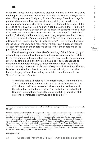When Marx speaks of his method as distinct from that of Hegel, this does not happen on a common theoretical level with the *Science of Logic*, but in view of his project of a *Critique of Political Economy*. Seen from Hegel's point of view, we are thus dealing with methodological questions of a particular real science, whereby in view of the planned total scope of the project, of which *Capital* is only a part, it can be claimed, that it is largely congruent with Hegel's philosophy of the objective spirit.48 From this level of a particular science, Marx refers to what he calls Hegel's "dialectical method," whereby on the one hand, he strongly emphasizes the contrast between the two – his "dialectical method" is "not only fundamentally different from Hegel's, but "its direct antithesis" – but on the other hand makes use of the *Logic* as a reservoir of "dialectical" figures of thought without reflecting on the conditions of the reflect the conditions of the possibility of such a use.

From Hegel's point of view, Marx's handling of the *Science of Logic* raises the question of how the absolute idea as absolute method relates to the real science of the objective spirit. That here, due to the permanent exteriority of the idea in the finite reality, a direct correspondence or congruence cannot take place, is already the result from the quoted claims that Hegel makes in the *Science of Logic* itself. How this difference is to be understood and how to work it out methodically, on the other hand, is largely left out. A revealing formulation is to be found in the "Logic" of the *Encyclopedia*:

"*everything* actual, insofar as it is something true, is also the idea… The individual being is some side or other of the idea, but for this still other actualities are needed…the concept is realized only in them together and in their relation. The individual taken by itself [*für sich*] does not correspond to its concept; this limitation of its existence constitutes its *finitude* and its demise." 49

49 Hegel 2010a, p.

S  $\mathbf{I}$ S & C R I T  $\mathbf{I}$  $\Omega$ U E / Volume 8 Issue 2

C R  $\mathbf{I}$ 

in view of the existing order are above all made explicit in the collegia on the philosophy of right up to 1819/20.

<sup>48 &</sup>quot;The order obviously has to be (I) the general, abstract determinants which obtain in more or less all forms of society, but in the above-explained sense. (2) The categories which make up the inner structure of bourgeois society and on which the fundamental classes rest. Capital, wage labour, landed property. Their interrelation. Town and country. The three great social classes. Exchange between them. Circulation. Credit system (private). (3) Concentration of bourgeois society in the form of the state. Viewed in relation to itself. The 'unproductive' classes. Taxes. State debt. Public credit. The population. The colonies. Emigration. (4) The international relation of production. International division of labour. International exchange. Export and import. Rate of exchange. (5) The world market and crises." Marx 1993, p. 7 [need to add this to the biblio]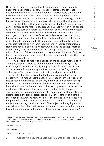However, he does not explain how to comprehend reason in reality under these conditions, i.e. how to reconstruct from the external relations the moments of truth and reality. Unfortunately, there are no further explanations of this point in neither in the supplement to the *Freundesverein* edition nor in the postscripts accessible today, in which the corresponding paragraph is almost without exception skipped over.<sup>50</sup>

The absolute method, as Hegel develops it in the *Science of Logic*, cannot simply be the method of apprehending reality, for in it the concept is itself in its pure self-reference and without any externality the object, so that in this absolute method it is at the same time subject, means and object of cognition. In the finite real sciences, on the other hand, the concept can only refer to itself externally, mediated by others, and is divided into moments of truth as mutually external realities. If the concept is realized only in them together and in their relationship, as Hegel emphasizes, and if the existent, which has the concept more or less in itself, is not deducible from the concept itself, then it requires an effort of its *own* of the concept to find it again in reality and to find the inner, conceptual and to represent the inner, conceptual connection of the fragmented realities.

The devotion to reality is inscribed in the absolute method itself - it is the "*impulse* [Trieb] to find and recognize *itself through itself in all things*<sup>"51</sup>, both theoretically and practically<sup>52</sup> - so that at the end of the passage through reality, as it we can read in the *Encyclopedia* ", the logical" is again attained, but , with the significance that it is a universality that has proven itself in the concrete content as its actuality."53 This means that the absolute method in turn is the result of this passage (which Hegel, by the way, but never fully accomplished), but it is not ad limine identical with the method therefore it is not ad limine identical with the method which tries to grasp and represent the mediation of the conceptual moments in reality. The finding oneself and recognizing presupposes first of all a searching, to which, taken for itself according to Hegel, corresponds to a deficient form of method, the "enquiry [*suchende Erkennen*]": in it "the method likewise occupies the position of an *instrument*, as a means that stands on the side of the subject, connecting it with the object. The subject in this syllogism is one extreme, the object is the other, and in conclusion the subject unites through its method with the object without however *uniting with itself* 

51 Hegel 2010, p. 737

52 Cf. Gerhard 2015.

34

C

<sup>50</sup> In fact, it is to be noted that the question of the relationship of the dialectical method in the *Science of Logic* to the method in the real sciences has to the method in the real sciences has so far received little attention in the Hegel-research.

<sup>53</sup> G.W.F. Hegel, GW, Vol. 19, p. 415.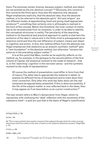there. The extremes remain diverse, because subject, method, and object are not posited as *the one identical concept*."54 Obviously, this concerns this concerns the finite spirit, thus also the objective one, because Hegel emphasizes explicitly, that the absolute idea, thus the absolute method, is to be referred to the absolute spirit: "Art and religion" are "its different modes of apprehending itself and giving itself appropriate existence"55, something that certainly only in philosophy is realized in the form of the concept. Below this threshold, the inner context of reality has to be reconstructed from its moments, in order to be able to identify the conceptual structures in reality. The peculiarity of the searching method in its theoretical and practical approach to reality is that here the existence of the idea in nature and in the finite mind is presupposed as an objective world and thus the real difference of subject, means and object in cognition and action. In this, this method differs from the absolute one. Hegel emphasizes that dialectics as an analytic-synthetic method<sup>56</sup> gets a "new foundation" in the absolute method, but otherwise "remains the same as in the preceding subject matter."<sup>57</sup>

It is at this point that Marx, insofar as he explicitly reflects on his method, as, for example, in the epilogue to the second edition of the first volume of *Capital*, the analytical moment to the mode of research - that is, to the 'searching' cognition in the narrower sense - and the synthetic moment to the mode of representation:

Of course the method of presentation must differ in form from that of inquiry. The latter has to appropriate the material in detail, to analyse its different forms of development and to track down their inner connection. Only after this work has been done can the real movement be appropriately presented. If this is done successfully, if the life of the subject-matter is now reflected back in the ideas, then it may appear as if we have before us an a priori construction. $58$ 

The last remark refers to Marx's demarcation from Hegel, whom he reproaches with confusing the 'ideal' reflection with the movement of the substance itself – a quid pro quo that is the basis of Hegel's mystification

54 Hegel 2010b, p. 738.

55 Ibid., 735.

56 "This no less synthetic than analytic moment of the *judgment* through which the initial universal determines itself from within as the other of itself is to be called the dialectical moment." Hegel 2010, p. 741.

57 Ibid., p. 748.

58 Marx 1990, p.102

R I T I Q U E / Volume 8

Issue 2

C R  $\mathbf{I}$ S I S & C

Conceptual Thought as Critique: Remarks on Hegel and Marx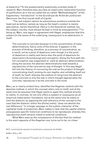of dialectics.59 To the predominantly analytically oriented mode of research, Marx therefore also ascribes an empirically-materialist function of justification as in the so-called the so-called "Methodenkapitel" of the fragmentary "Introduction" to the *Grundrisse der Kritik der politischen Ökonomie*, the first overall draft of *Capital*.

"The real subject retains its autonomous existence outside the head just as before; namely as long as the head's conduct is merely speculative, merely theoretical. Hence in the theoretical method, too, the subject, society, must always be kept in mind as presupposition."60 In doing so, Marx, now again in agreement with Hegel, emphasizes that this subject (in the sense of the underlying, ὑποκείμενον) is an abstraction in itself:

The concrete is concrete because it is the concentration of many determinations, hence unity of the diverse. It appears in the process of thinking, therefore, as a process of concentration, as a result, not as a point of departure, even though it is the point of departure in reality and hence also the point of departure for observation [Anschauung] and conception. Along the first path the full conception was evaporated to' yield an abstract determination; along the second, the abstract determinations lead towards a reproduction of the concrete by way of thought. In this way Hegel fell into the illusion of conceiving the real as the product of thought concentrating itself, probing its own depths, and unfolding itself out of itself, by itself, whereas the method of rising from the abstract to the concrete is only the way in which thought appropriates the concrete, reproduces it as the concrete in the mind.

Marx, as is clearly evident here, identifies the Hegelian method with the absolute method, in which the concept refers only to itself, and at the same time he assumes that Hegel wants to apply this method directly to reality. In contrast, he not only offers a subject or ὑποκείμενον as an empirical-materialistic foundation, but at the same time he wants to limit the dialectic by opposing the self-reference of the concept to the view that the dialectic within the (finite) reality "does not abolish the real difference." In a longer passage on the system character of the capitalist mode of production, Marx makes it clear that the capital relation presupposes specific historical conditions to be reproduced, whereby this reproduction itself remains linked to external conditions.

What Marx sees as the consequence of the fact that his method is the exact opposite of the Hegelian one, turns out to be, on closer

59 Cf. concerning the reproach of mystification, extensively: Arndt 2013.

60 Marx 1973, p. 101f.

36

 $\mathbf{I}$ S I S & C R I T  $\mathbf{I}$ Q U E / Volume 8 Issue 2

C R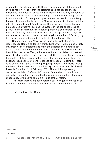examination as adequation with Hegel's determination of the concept in finite reality. The fact that the dialectic does not abolish the real difference here does not establish a contradiction. It is only abolished by showing that the finite has no true being, but is only a becoming, that is, in absolute spirit. For real philosophy, on the other hand, it is precisely the real difference that is decisive. Marx erroneously thinks he can bring into play against Hegel. And likewise, Hegel nowhere claims that real philosophical systems (such as the system of the capitalist mode of production) can reproduce themselves purely in a self-referential way; this is in fact only to the self-referral of the concept in pure thought. Marx succumbs throughout to the error that Hegel intended his *Science of Logic* in relation to real-philosophical facts directly to the validity.

Regardless of this, Marx proves to be a theorist who, in his references to Hegel's philosophy thinks further where it remains largely inexpressive in its implementation: in the question of a methodology of the real science of the objective spirit. This thinking-further remains insufficient insofar as Marx, in his adaptation of the dialectical method wants to sharpen its critical function in relation to Hegel, but at the same time cuts it off from its normative point of reference, namely from the absolute idea as the self-consciousness of freedom. In doing so, there is no doubt that Marx is following Hegel's program – to criticize through the comprehension of what is. He thus explains in a letter to Ferdinand Lassalle from the 22<sup>nd</sup> of February 1858: "The work I am presently concerned with is a *Critique of Economic Categories* or, if you like, a critical exposé of the system of the bourgeois economy. It is at once an exposé and, by the same token, a critique of the system."61

That Marx thereby implicitly refers back to Hegel's conception of freedom could be shown but is not to be discussed further here.<sup>62</sup>

Translated by Frank Ruda

C R I T  $\mathbf{I}$ Q U E / Volume 8

C R  $\mathbf{I}$ S I S &

Issue 2

61 Marx 1922

62 Cf. Arndt 2019.